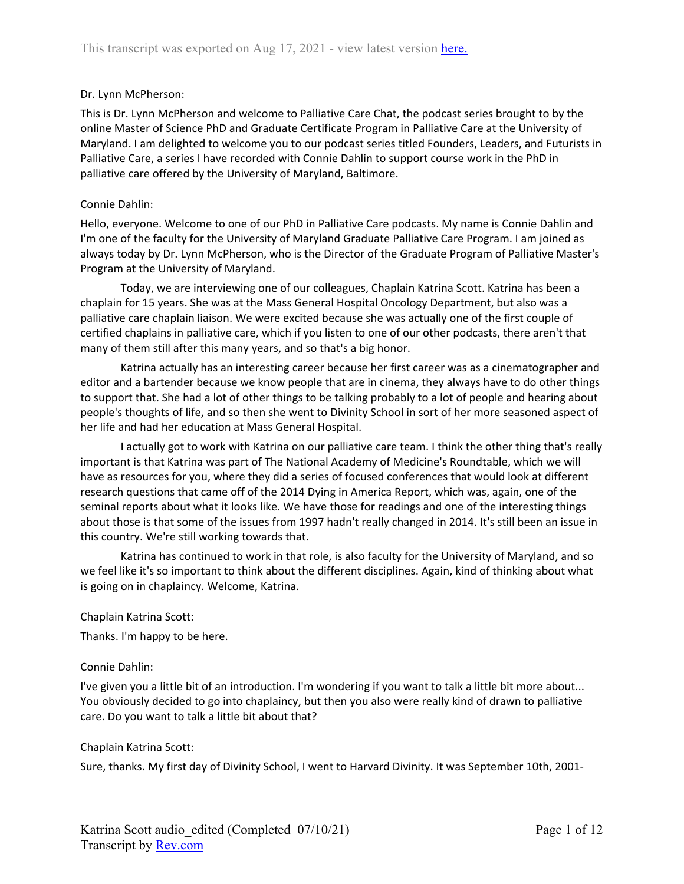### Dr. Lynn McPherson:

This is Dr. Lynn McPherson and welcome to Palliative Care Chat, the podcast series brought to by the online Master of Science PhD and Graduate Certificate Program in Palliative Care at the University of Maryland. I am delighted to welcome you to our podcast series titled Founders, Leaders, and Futurists in Palliative Care, a series I have recorded with Connie Dahlin to support course work in the PhD in palliative care offered by the University of Maryland, Baltimore.

### Connie Dahlin:

Hello, everyone. Welcome to one of our PhD in Palliative Care podcasts. My name is Connie Dahlin and I'm one of the faculty for the University of Maryland Graduate Palliative Care Program. I am joined as always today by Dr. Lynn McPherson, who is the Director of the Graduate Program of Palliative Master's Program at the University of Maryland.

Today, we are interviewing one of our colleagues, Chaplain Katrina Scott. Katrina has been a chaplain for 15 years. She was at the Mass General Hospital Oncology Department, but also was a palliative care chaplain liaison. We were excited because she was actually one of the first couple of certified chaplains in palliative care, which if you listen to one of our other podcasts, there aren't that many of them still after this many years, and so that's a big honor.

Katrina actually has an interesting career because her first career was as a cinematographer and editor and a bartender because we know people that are in cinema, they always have to do other things to support that. She had a lot of other things to be talking probably to a lot of people and hearing about people's thoughts of life, and so then she went to Divinity School in sort of her more seasoned aspect of her life and had her education at Mass General Hospital.

I actually got to work with Katrina on our palliative care team. I think the other thing that's really important is that Katrina was part of The National Academy of Medicine's Roundtable, which we will have as resources for you, where they did a series of focused conferences that would look at different research questions that came off of the 2014 Dying in America Report, which was, again, one of the seminal reports about what it looks like. We have those for readings and one of the interesting things about those is that some of the issues from 1997 hadn't really changed in 2014. It's still been an issue in this country. We're still working towards that.

Katrina has continued to work in that role, is also faculty for the University of Maryland, and so we feel like it's so important to think about the different disciplines. Again, kind of thinking about what is going on in chaplaincy. Welcome, Katrina.

### Chaplain Katrina Scott:

Thanks. I'm happy to be here.

### Connie Dahlin:

I've given you a little bit of an introduction. I'm wondering if you want to talk a little bit more about... You obviously decided to go into chaplaincy, but then you also were really kind of drawn to palliative care. Do you want to talk a little bit about that?

### Chaplain Katrina Scott:

Sure, thanks. My first day of Divinity School, I went to Harvard Divinity. It was September 10th, 2001-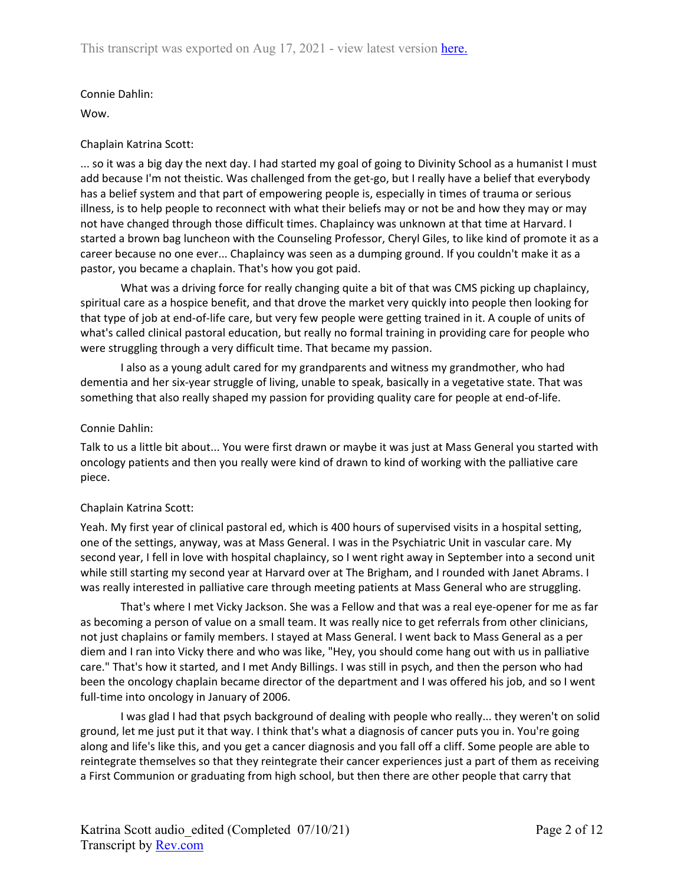Wow.

## Chaplain Katrina Scott:

... so it was a big day the next day. I had started my goal of going to Divinity School as a humanist I must add because I'm not theistic. Was challenged from the get-go, but I really have a belief that everybody has a belief system and that part of empowering people is, especially in times of trauma or serious illness, is to help people to reconnect with what their beliefs may or not be and how they may or may not have changed through those difficult times. Chaplaincy was unknown at that time at Harvard. I started a brown bag luncheon with the Counseling Professor, Cheryl Giles, to like kind of promote it as a career because no one ever... Chaplaincy was seen as a dumping ground. If you couldn't make it as a pastor, you became a chaplain. That's how you got paid.

What was a driving force for really changing quite a bit of that was CMS picking up chaplaincy, spiritual care as a hospice benefit, and that drove the market very quickly into people then looking for that type of job at end-of-life care, but very few people were getting trained in it. A couple of units of what's called clinical pastoral education, but really no formal training in providing care for people who were struggling through a very difficult time. That became my passion.

I also as a young adult cared for my grandparents and witness my grandmother, who had dementia and her six-year struggle of living, unable to speak, basically in a vegetative state. That was something that also really shaped my passion for providing quality care for people at end-of-life.

### Connie Dahlin:

Talk to us a little bit about... You were first drawn or maybe it was just at Mass General you started with oncology patients and then you really were kind of drawn to kind of working with the palliative care piece.

# Chaplain Katrina Scott:

Yeah. My first year of clinical pastoral ed, which is 400 hours of supervised visits in a hospital setting, one of the settings, anyway, was at Mass General. I was in the Psychiatric Unit in vascular care. My second year, I fell in love with hospital chaplaincy, so I went right away in September into a second unit while still starting my second year at Harvard over at The Brigham, and I rounded with Janet Abrams. I was really interested in palliative care through meeting patients at Mass General who are struggling.

That's where I met Vicky Jackson. She was a Fellow and that was a real eye-opener for me as far as becoming a person of value on a small team. It was really nice to get referrals from other clinicians, not just chaplains or family members. I stayed at Mass General. I went back to Mass General as a per diem and I ran into Vicky there and who was like, "Hey, you should come hang out with us in palliative care." That's how it started, and I met Andy Billings. I was still in psych, and then the person who had been the oncology chaplain became director of the department and I was offered his job, and so I went full-time into oncology in January of 2006.

I was glad I had that psych background of dealing with people who really... they weren't on solid ground, let me just put it that way. I think that's what a diagnosis of cancer puts you in. You're going along and life's like this, and you get a cancer diagnosis and you fall off a cliff. Some people are able to reintegrate themselves so that they reintegrate their cancer experiences just a part of them as receiving a First Communion or graduating from high school, but then there are other people that carry that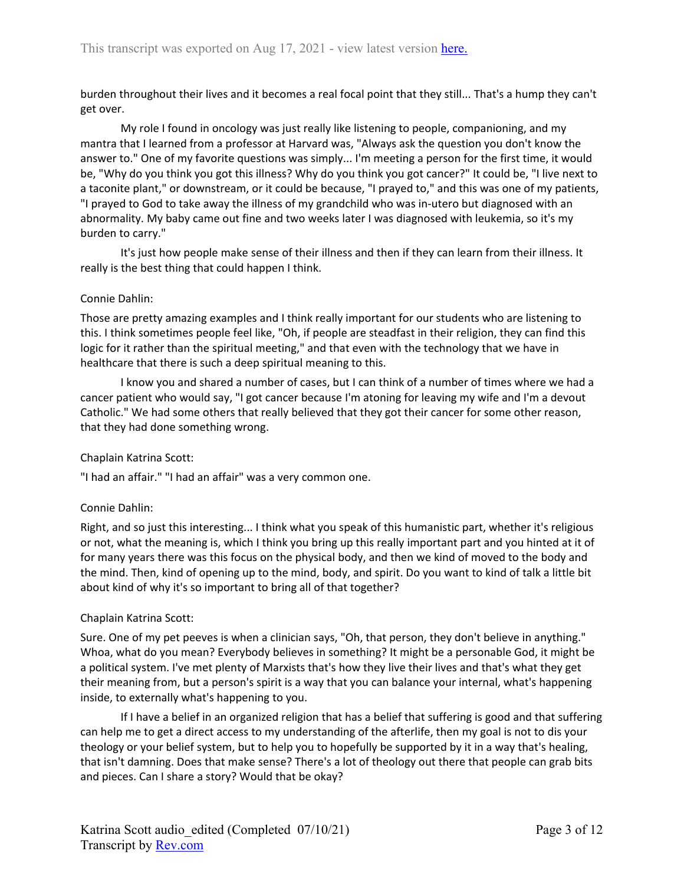burden throughout their lives and it becomes a real focal point that they still... That's a hump they can't get over.

My role I found in oncology was just really like listening to people, companioning, and my mantra that I learned from a professor at Harvard was, "Always ask the question you don't know the answer to." One of my favorite questions was simply... I'm meeting a person for the first time, it would be, "Why do you think you got this illness? Why do you think you got cancer?" It could be, "I live next to a taconite plant," or downstream, or it could be because, "I prayed to," and this was one of my patients, "I prayed to God to take away the illness of my grandchild who was in-utero but diagnosed with an abnormality. My baby came out fine and two weeks later I was diagnosed with leukemia, so it's my burden to carry."

It's just how people make sense of their illness and then if they can learn from their illness. It really is the best thing that could happen I think.

### Connie Dahlin:

Those are pretty amazing examples and I think really important for our students who are listening to this. I think sometimes people feel like, "Oh, if people are steadfast in their religion, they can find this logic for it rather than the spiritual meeting," and that even with the technology that we have in healthcare that there is such a deep spiritual meaning to this.

I know you and shared a number of cases, but I can think of a number of times where we had a cancer patient who would say, "I got cancer because I'm atoning for leaving my wife and I'm a devout Catholic." We had some others that really believed that they got their cancer for some other reason, that they had done something wrong.

### Chaplain Katrina Scott:

"I had an affair." "I had an affair" was a very common one.

### Connie Dahlin:

Right, and so just this interesting... I think what you speak of this humanistic part, whether it's religious or not, what the meaning is, which I think you bring up this really important part and you hinted at it of for many years there was this focus on the physical body, and then we kind of moved to the body and the mind. Then, kind of opening up to the mind, body, and spirit. Do you want to kind of talk a little bit about kind of why it's so important to bring all of that together?

### Chaplain Katrina Scott:

Sure. One of my pet peeves is when a clinician says, "Oh, that person, they don't believe in anything." Whoa, what do you mean? Everybody believes in something? It might be a personable God, it might be a political system. I've met plenty of Marxists that's how they live their lives and that's what they get their meaning from, but a person's spirit is a way that you can balance your internal, what's happening inside, to externally what's happening to you.

If I have a belief in an organized religion that has a belief that suffering is good and that suffering can help me to get a direct access to my understanding of the afterlife, then my goal is not to dis your theology or your belief system, but to help you to hopefully be supported by it in a way that's healing, that isn't damning. Does that make sense? There's a lot of theology out there that people can grab bits and pieces. Can I share a story? Would that be okay?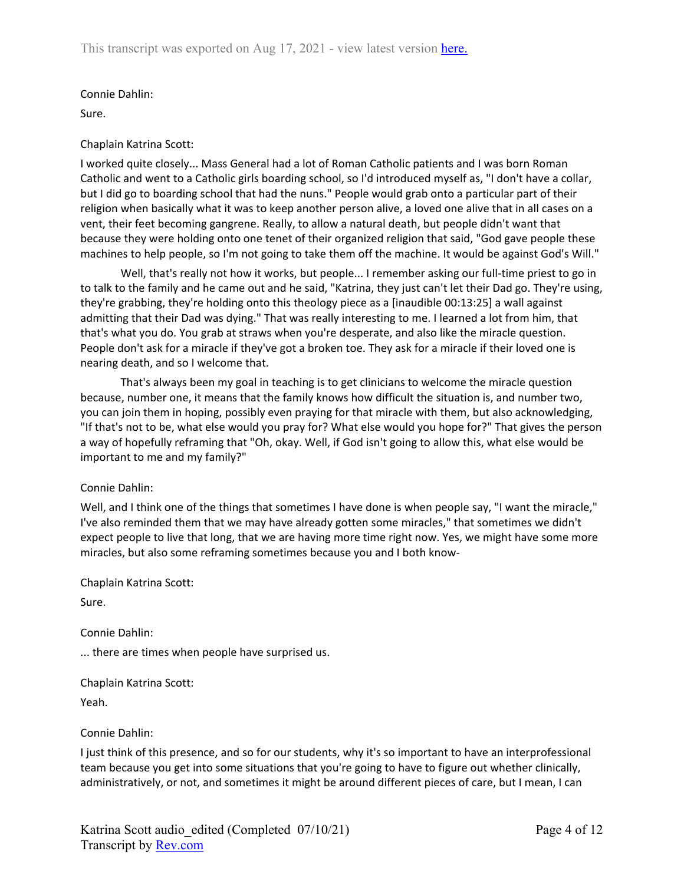Sure.

### Chaplain Katrina Scott:

I worked quite closely... Mass General had a lot of Roman Catholic patients and I was born Roman Catholic and went to a Catholic girls boarding school, so I'd introduced myself as, "I don't have a collar, but I did go to boarding school that had the nuns." People would grab onto a particular part of their religion when basically what it was to keep another person alive, a loved one alive that in all cases on a vent, their feet becoming gangrene. Really, to allow a natural death, but people didn't want that because they were holding onto one tenet of their organized religion that said, "God gave people these machines to help people, so I'm not going to take them off the machine. It would be against God's Will."

Well, that's really not how it works, but people... I remember asking our full-time priest to go in to talk to the family and he came out and he said, "Katrina, they just can't let their Dad go. They're using, they're grabbing, they're holding onto this theology piece as a [inaudible 00:13:25] a wall against admitting that their Dad was dying." That was really interesting to me. I learned a lot from him, that that's what you do. You grab at straws when you're desperate, and also like the miracle question. People don't ask for a miracle if they've got a broken toe. They ask for a miracle if their loved one is nearing death, and so I welcome that.

That's always been my goal in teaching is to get clinicians to welcome the miracle question because, number one, it means that the family knows how difficult the situation is, and number two, you can join them in hoping, possibly even praying for that miracle with them, but also acknowledging, "If that's not to be, what else would you pray for? What else would you hope for?" That gives the person a way of hopefully reframing that "Oh, okay. Well, if God isn't going to allow this, what else would be important to me and my family?"

# Connie Dahlin:

Well, and I think one of the things that sometimes I have done is when people say, "I want the miracle," I've also reminded them that we may have already gotten some miracles," that sometimes we didn't expect people to live that long, that we are having more time right now. Yes, we might have some more miracles, but also some reframing sometimes because you and I both know-

Chaplain Katrina Scott:

Sure.

Connie Dahlin:

... there are times when people have surprised us.

Chaplain Katrina Scott:

Yeah.

Connie Dahlin:

I just think of this presence, and so for our students, why it's so important to have an interprofessional team because you get into some situations that you're going to have to figure out whether clinically, administratively, or not, and sometimes it might be around different pieces of care, but I mean, I can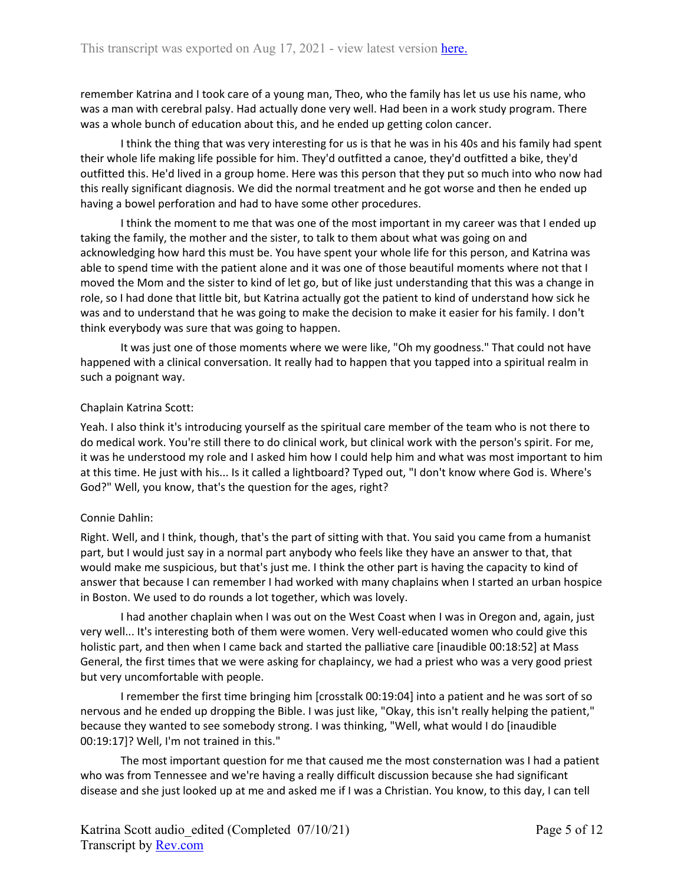remember Katrina and I took care of a young man, Theo, who the family has let us use his name, who was a man with cerebral palsy. Had actually done very well. Had been in a work study program. There was a whole bunch of education about this, and he ended up getting colon cancer.

I think the thing that was very interesting for us is that he was in his 40s and his family had spent their whole life making life possible for him. They'd outfitted a canoe, they'd outfitted a bike, they'd outfitted this. He'd lived in a group home. Here was this person that they put so much into who now had this really significant diagnosis. We did the normal treatment and he got worse and then he ended up having a bowel perforation and had to have some other procedures.

I think the moment to me that was one of the most important in my career was that I ended up taking the family, the mother and the sister, to talk to them about what was going on and acknowledging how hard this must be. You have spent your whole life for this person, and Katrina was able to spend time with the patient alone and it was one of those beautiful moments where not that I moved the Mom and the sister to kind of let go, but of like just understanding that this was a change in role, so I had done that little bit, but Katrina actually got the patient to kind of understand how sick he was and to understand that he was going to make the decision to make it easier for his family. I don't think everybody was sure that was going to happen.

It was just one of those moments where we were like, "Oh my goodness." That could not have happened with a clinical conversation. It really had to happen that you tapped into a spiritual realm in such a poignant way.

### Chaplain Katrina Scott:

Yeah. I also think it's introducing yourself as the spiritual care member of the team who is not there to do medical work. You're still there to do clinical work, but clinical work with the person's spirit. For me, it was he understood my role and I asked him how I could help him and what was most important to him at this time. He just with his... Is it called a lightboard? Typed out, "I don't know where God is. Where's God?" Well, you know, that's the question for the ages, right?

### Connie Dahlin:

Right. Well, and I think, though, that's the part of sitting with that. You said you came from a humanist part, but I would just say in a normal part anybody who feels like they have an answer to that, that would make me suspicious, but that's just me. I think the other part is having the capacity to kind of answer that because I can remember I had worked with many chaplains when I started an urban hospice in Boston. We used to do rounds a lot together, which was lovely.

I had another chaplain when I was out on the West Coast when I was in Oregon and, again, just very well... It's interesting both of them were women. Very well-educated women who could give this holistic part, and then when I came back and started the palliative care [inaudible 00:18:52] at Mass General, the first times that we were asking for chaplaincy, we had a priest who was a very good priest but very uncomfortable with people.

I remember the first time bringing him [crosstalk 00:19:04] into a patient and he was sort of so nervous and he ended up dropping the Bible. I was just like, "Okay, this isn't really helping the patient," because they wanted to see somebody strong. I was thinking, "Well, what would I do [inaudible 00:19:17]? Well, I'm not trained in this."

The most important question for me that caused me the most consternation was I had a patient who was from Tennessee and we're having a really difficult discussion because she had significant disease and she just looked up at me and asked me if I was a Christian. You know, to this day, I can tell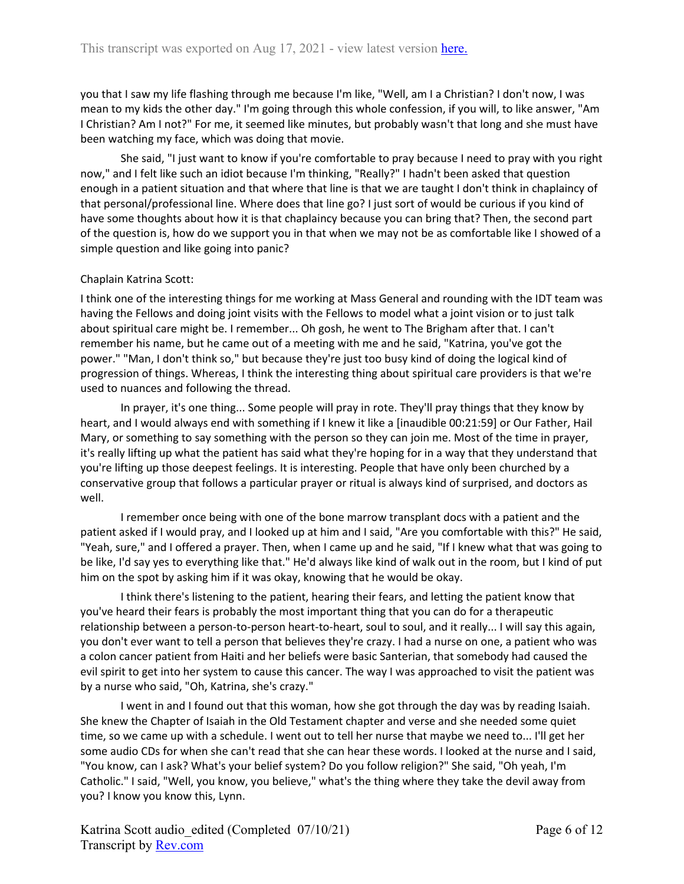you that I saw my life flashing through me because I'm like, "Well, am I a Christian? I don't now, I was mean to my kids the other day." I'm going through this whole confession, if you will, to like answer, "Am I Christian? Am I not?" For me, it seemed like minutes, but probably wasn't that long and she must have been watching my face, which was doing that movie.

She said, "I just want to know if you're comfortable to pray because I need to pray with you right now," and I felt like such an idiot because I'm thinking, "Really?" I hadn't been asked that question enough in a patient situation and that where that line is that we are taught I don't think in chaplaincy of that personal/professional line. Where does that line go? I just sort of would be curious if you kind of have some thoughts about how it is that chaplaincy because you can bring that? Then, the second part of the question is, how do we support you in that when we may not be as comfortable like I showed of a simple question and like going into panic?

### Chaplain Katrina Scott:

I think one of the interesting things for me working at Mass General and rounding with the IDT team was having the Fellows and doing joint visits with the Fellows to model what a joint vision or to just talk about spiritual care might be. I remember... Oh gosh, he went to The Brigham after that. I can't remember his name, but he came out of a meeting with me and he said, "Katrina, you've got the power." "Man, I don't think so," but because they're just too busy kind of doing the logical kind of progression of things. Whereas, I think the interesting thing about spiritual care providers is that we're used to nuances and following the thread.

In prayer, it's one thing... Some people will pray in rote. They'll pray things that they know by heart, and I would always end with something if I knew it like a [inaudible 00:21:59] or Our Father, Hail Mary, or something to say something with the person so they can join me. Most of the time in prayer, it's really lifting up what the patient has said what they're hoping for in a way that they understand that you're lifting up those deepest feelings. It is interesting. People that have only been churched by a conservative group that follows a particular prayer or ritual is always kind of surprised, and doctors as well.

I remember once being with one of the bone marrow transplant docs with a patient and the patient asked if I would pray, and I looked up at him and I said, "Are you comfortable with this?" He said, "Yeah, sure," and I offered a prayer. Then, when I came up and he said, "If I knew what that was going to be like, I'd say yes to everything like that." He'd always like kind of walk out in the room, but I kind of put him on the spot by asking him if it was okay, knowing that he would be okay.

I think there's listening to the patient, hearing their fears, and letting the patient know that you've heard their fears is probably the most important thing that you can do for a therapeutic relationship between a person-to-person heart-to-heart, soul to soul, and it really... I will say this again, you don't ever want to tell a person that believes they're crazy. I had a nurse on one, a patient who was a colon cancer patient from Haiti and her beliefs were basic Santerian, that somebody had caused the evil spirit to get into her system to cause this cancer. The way I was approached to visit the patient was by a nurse who said, "Oh, Katrina, she's crazy."

I went in and I found out that this woman, how she got through the day was by reading Isaiah. She knew the Chapter of Isaiah in the Old Testament chapter and verse and she needed some quiet time, so we came up with a schedule. I went out to tell her nurse that maybe we need to... I'll get her some audio CDs for when she can't read that she can hear these words. I looked at the nurse and I said, "You know, can I ask? What's your belief system? Do you follow religion?" She said, "Oh yeah, I'm Catholic." I said, "Well, you know, you believe," what's the thing where they take the devil away from you? I know you know this, Lynn.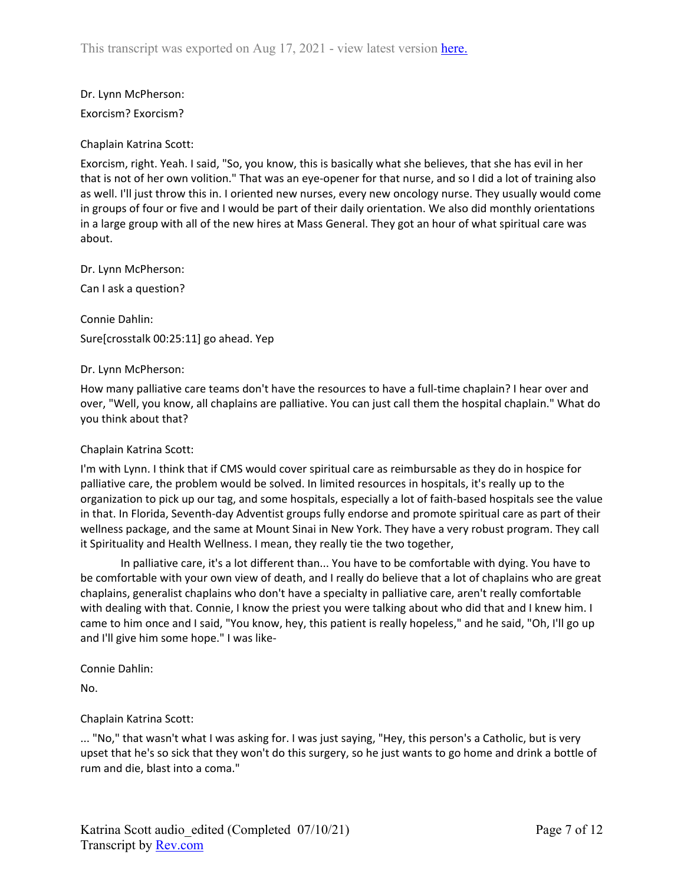Dr. Lynn McPherson:

Exorcism? Exorcism?

Chaplain Katrina Scott:

Exorcism, right. Yeah. I said, "So, you know, this is basically what she believes, that she has evil in her that is not of her own volition." That was an eye-opener for that nurse, and so I did a lot of training also as well. I'll just throw this in. I oriented new nurses, every new oncology nurse. They usually would come in groups of four or five and I would be part of their daily orientation. We also did monthly orientations in a large group with all of the new hires at Mass General. They got an hour of what spiritual care was about.

Dr. Lynn McPherson:

Can I ask a question?

Connie Dahlin: Sure[crosstalk 00:25:11] go ahead. Yep

Dr. Lynn McPherson:

How many palliative care teams don't have the resources to have a full-time chaplain? I hear over and over, "Well, you know, all chaplains are palliative. You can just call them the hospital chaplain." What do you think about that?

# Chaplain Katrina Scott:

I'm with Lynn. I think that if CMS would cover spiritual care as reimbursable as they do in hospice for palliative care, the problem would be solved. In limited resources in hospitals, it's really up to the organization to pick up our tag, and some hospitals, especially a lot of faith-based hospitals see the value in that. In Florida, Seventh-day Adventist groups fully endorse and promote spiritual care as part of their wellness package, and the same at Mount Sinai in New York. They have a very robust program. They call it Spirituality and Health Wellness. I mean, they really tie the two together,

In palliative care, it's a lot different than... You have to be comfortable with dying. You have to be comfortable with your own view of death, and I really do believe that a lot of chaplains who are great chaplains, generalist chaplains who don't have a specialty in palliative care, aren't really comfortable with dealing with that. Connie, I know the priest you were talking about who did that and I knew him. I came to him once and I said, "You know, hey, this patient is really hopeless," and he said, "Oh, I'll go up and I'll give him some hope." I was like-

Connie Dahlin:

No.

# Chaplain Katrina Scott:

... "No," that wasn't what I was asking for. I was just saying, "Hey, this person's a Catholic, but is very upset that he's so sick that they won't do this surgery, so he just wants to go home and drink a bottle of rum and die, blast into a coma."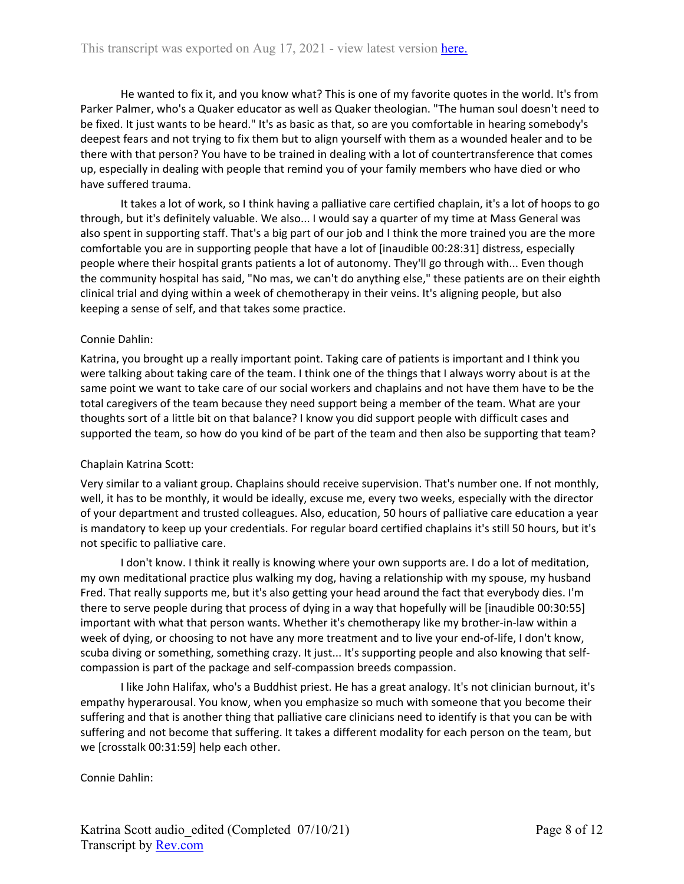He wanted to fix it, and you know what? This is one of my favorite quotes in the world. It's from Parker Palmer, who's a Quaker educator as well as Quaker theologian. "The human soul doesn't need to be fixed. It just wants to be heard." It's as basic as that, so are you comfortable in hearing somebody's deepest fears and not trying to fix them but to align yourself with them as a wounded healer and to be there with that person? You have to be trained in dealing with a lot of countertransference that comes up, especially in dealing with people that remind you of your family members who have died or who have suffered trauma.

It takes a lot of work, so I think having a palliative care certified chaplain, it's a lot of hoops to go through, but it's definitely valuable. We also... I would say a quarter of my time at Mass General was also spent in supporting staff. That's a big part of our job and I think the more trained you are the more comfortable you are in supporting people that have a lot of [inaudible 00:28:31] distress, especially people where their hospital grants patients a lot of autonomy. They'll go through with... Even though the community hospital has said, "No mas, we can't do anything else," these patients are on their eighth clinical trial and dying within a week of chemotherapy in their veins. It's aligning people, but also keeping a sense of self, and that takes some practice.

### Connie Dahlin:

Katrina, you brought up a really important point. Taking care of patients is important and I think you were talking about taking care of the team. I think one of the things that I always worry about is at the same point we want to take care of our social workers and chaplains and not have them have to be the total caregivers of the team because they need support being a member of the team. What are your thoughts sort of a little bit on that balance? I know you did support people with difficult cases and supported the team, so how do you kind of be part of the team and then also be supporting that team?

# Chaplain Katrina Scott:

Very similar to a valiant group. Chaplains should receive supervision. That's number one. If not monthly, well, it has to be monthly, it would be ideally, excuse me, every two weeks, especially with the director of your department and trusted colleagues. Also, education, 50 hours of palliative care education a year is mandatory to keep up your credentials. For regular board certified chaplains it's still 50 hours, but it's not specific to palliative care.

I don't know. I think it really is knowing where your own supports are. I do a lot of meditation, my own meditational practice plus walking my dog, having a relationship with my spouse, my husband Fred. That really supports me, but it's also getting your head around the fact that everybody dies. I'm there to serve people during that process of dying in a way that hopefully will be [inaudible 00:30:55] important with what that person wants. Whether it's chemotherapy like my brother-in-law within a week of dying, or choosing to not have any more treatment and to live your end-of-life, I don't know, scuba diving or something, something crazy. It just... It's supporting people and also knowing that selfcompassion is part of the package and self-compassion breeds compassion.

I like John Halifax, who's a Buddhist priest. He has a great analogy. It's not clinician burnout, it's empathy hyperarousal. You know, when you emphasize so much with someone that you become their suffering and that is another thing that palliative care clinicians need to identify is that you can be with suffering and not become that suffering. It takes a different modality for each person on the team, but we [crosstalk 00:31:59] help each other.

Connie Dahlin: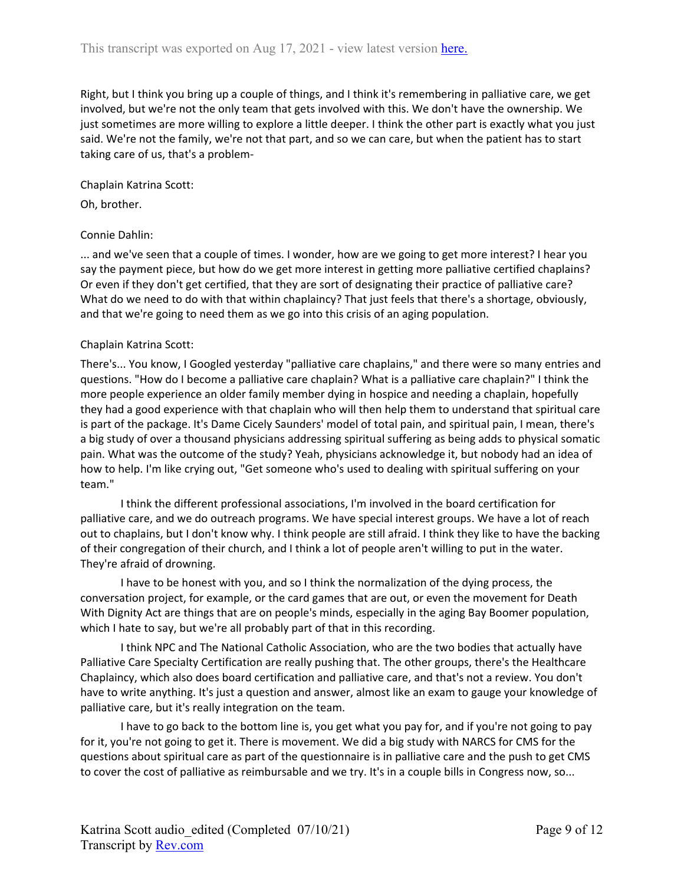Right, but I think you bring up a couple of things, and I think it's remembering in palliative care, we get involved, but we're not the only team that gets involved with this. We don't have the ownership. We just sometimes are more willing to explore a little deeper. I think the other part is exactly what you just said. We're not the family, we're not that part, and so we can care, but when the patient has to start taking care of us, that's a problem-

Chaplain Katrina Scott:

Oh, brother.

#### Connie Dahlin:

... and we've seen that a couple of times. I wonder, how are we going to get more interest? I hear you say the payment piece, but how do we get more interest in getting more palliative certified chaplains? Or even if they don't get certified, that they are sort of designating their practice of palliative care? What do we need to do with that within chaplaincy? That just feels that there's a shortage, obviously, and that we're going to need them as we go into this crisis of an aging population.

#### Chaplain Katrina Scott:

There's... You know, I Googled yesterday "palliative care chaplains," and there were so many entries and questions. "How do I become a palliative care chaplain? What is a palliative care chaplain?" I think the more people experience an older family member dying in hospice and needing a chaplain, hopefully they had a good experience with that chaplain who will then help them to understand that spiritual care is part of the package. It's Dame Cicely Saunders' model of total pain, and spiritual pain, I mean, there's a big study of over a thousand physicians addressing spiritual suffering as being adds to physical somatic pain. What was the outcome of the study? Yeah, physicians acknowledge it, but nobody had an idea of how to help. I'm like crying out, "Get someone who's used to dealing with spiritual suffering on your team."

I think the different professional associations, I'm involved in the board certification for palliative care, and we do outreach programs. We have special interest groups. We have a lot of reach out to chaplains, but I don't know why. I think people are still afraid. I think they like to have the backing of their congregation of their church, and I think a lot of people aren't willing to put in the water. They're afraid of drowning.

I have to be honest with you, and so I think the normalization of the dying process, the conversation project, for example, or the card games that are out, or even the movement for Death With Dignity Act are things that are on people's minds, especially in the aging Bay Boomer population, which I hate to say, but we're all probably part of that in this recording.

I think NPC and The National Catholic Association, who are the two bodies that actually have Palliative Care Specialty Certification are really pushing that. The other groups, there's the Healthcare Chaplaincy, which also does board certification and palliative care, and that's not a review. You don't have to write anything. It's just a question and answer, almost like an exam to gauge your knowledge of palliative care, but it's really integration on the team.

I have to go back to the bottom line is, you get what you pay for, and if you're not going to pay for it, you're not going to get it. There is movement. We did a big study with NARCS for CMS for the questions about spiritual care as part of the questionnaire is in palliative care and the push to get CMS to cover the cost of palliative as reimbursable and we try. It's in a couple bills in Congress now, so...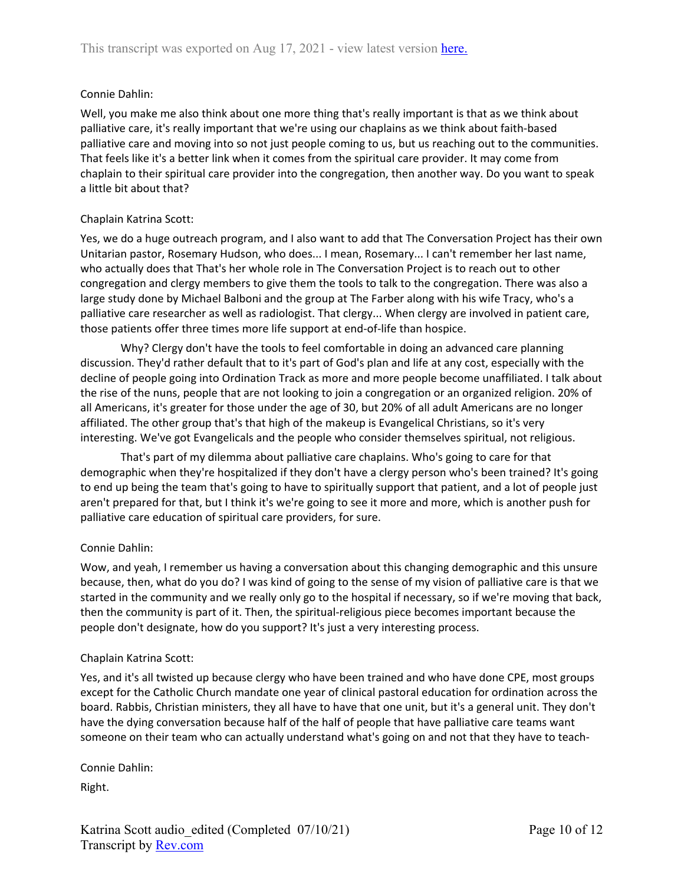Well, you make me also think about one more thing that's really important is that as we think about palliative care, it's really important that we're using our chaplains as we think about faith-based palliative care and moving into so not just people coming to us, but us reaching out to the communities. That feels like it's a better link when it comes from the spiritual care provider. It may come from chaplain to their spiritual care provider into the congregation, then another way. Do you want to speak a little bit about that?

### Chaplain Katrina Scott:

Yes, we do a huge outreach program, and I also want to add that The Conversation Project has their own Unitarian pastor, Rosemary Hudson, who does... I mean, Rosemary... I can't remember her last name, who actually does that That's her whole role in The Conversation Project is to reach out to other congregation and clergy members to give them the tools to talk to the congregation. There was also a large study done by Michael Balboni and the group at The Farber along with his wife Tracy, who's a palliative care researcher as well as radiologist. That clergy... When clergy are involved in patient care, those patients offer three times more life support at end-of-life than hospice.

Why? Clergy don't have the tools to feel comfortable in doing an advanced care planning discussion. They'd rather default that to it's part of God's plan and life at any cost, especially with the decline of people going into Ordination Track as more and more people become unaffiliated. I talk about the rise of the nuns, people that are not looking to join a congregation or an organized religion. 20% of all Americans, it's greater for those under the age of 30, but 20% of all adult Americans are no longer affiliated. The other group that's that high of the makeup is Evangelical Christians, so it's very interesting. We've got Evangelicals and the people who consider themselves spiritual, not religious.

That's part of my dilemma about palliative care chaplains. Who's going to care for that demographic when they're hospitalized if they don't have a clergy person who's been trained? It's going to end up being the team that's going to have to spiritually support that patient, and a lot of people just aren't prepared for that, but I think it's we're going to see it more and more, which is another push for palliative care education of spiritual care providers, for sure.

# Connie Dahlin:

Wow, and yeah, I remember us having a conversation about this changing demographic and this unsure because, then, what do you do? I was kind of going to the sense of my vision of palliative care is that we started in the community and we really only go to the hospital if necessary, so if we're moving that back, then the community is part of it. Then, the spiritual-religious piece becomes important because the people don't designate, how do you support? It's just a very interesting process.

### Chaplain Katrina Scott:

Yes, and it's all twisted up because clergy who have been trained and who have done CPE, most groups except for the Catholic Church mandate one year of clinical pastoral education for ordination across the board. Rabbis, Christian ministers, they all have to have that one unit, but it's a general unit. They don't have the dying conversation because half of the half of people that have palliative care teams want someone on their team who can actually understand what's going on and not that they have to teach-

Connie Dahlin:

Right.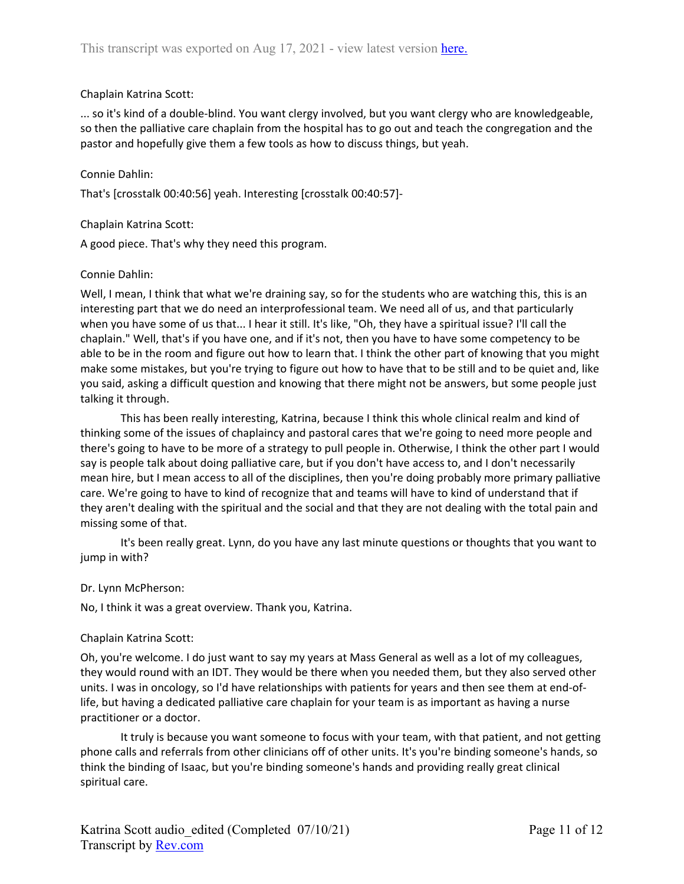### Chaplain Katrina Scott:

... so it's kind of a double-blind. You want clergy involved, but you want clergy who are knowledgeable, so then the palliative care chaplain from the hospital has to go out and teach the congregation and the pastor and hopefully give them a few tools as how to discuss things, but yeah.

### Connie Dahlin:

That's [crosstalk 00:40:56] yeah. Interesting [crosstalk 00:40:57]-

### Chaplain Katrina Scott:

A good piece. That's why they need this program.

### Connie Dahlin:

Well, I mean, I think that what we're draining say, so for the students who are watching this, this is an interesting part that we do need an interprofessional team. We need all of us, and that particularly when you have some of us that... I hear it still. It's like, "Oh, they have a spiritual issue? I'll call the chaplain." Well, that's if you have one, and if it's not, then you have to have some competency to be able to be in the room and figure out how to learn that. I think the other part of knowing that you might make some mistakes, but you're trying to figure out how to have that to be still and to be quiet and, like you said, asking a difficult question and knowing that there might not be answers, but some people just talking it through.

This has been really interesting, Katrina, because I think this whole clinical realm and kind of thinking some of the issues of chaplaincy and pastoral cares that we're going to need more people and there's going to have to be more of a strategy to pull people in. Otherwise, I think the other part I would say is people talk about doing palliative care, but if you don't have access to, and I don't necessarily mean hire, but I mean access to all of the disciplines, then you're doing probably more primary palliative care. We're going to have to kind of recognize that and teams will have to kind of understand that if they aren't dealing with the spiritual and the social and that they are not dealing with the total pain and missing some of that.

It's been really great. Lynn, do you have any last minute questions or thoughts that you want to jump in with?

### Dr. Lynn McPherson:

No, I think it was a great overview. Thank you, Katrina.

### Chaplain Katrina Scott:

Oh, you're welcome. I do just want to say my years at Mass General as well as a lot of my colleagues, they would round with an IDT. They would be there when you needed them, but they also served other units. I was in oncology, so I'd have relationships with patients for years and then see them at end-oflife, but having a dedicated palliative care chaplain for your team is as important as having a nurse practitioner or a doctor.

It truly is because you want someone to focus with your team, with that patient, and not getting phone calls and referrals from other clinicians off of other units. It's you're binding someone's hands, so think the binding of Isaac, but you're binding someone's hands and providing really great clinical spiritual care.